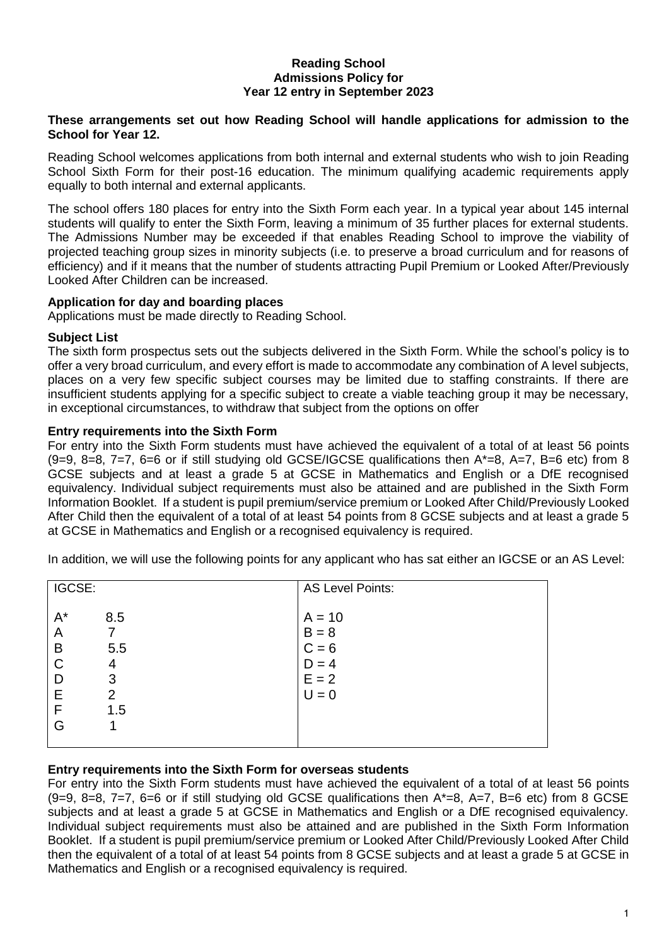## **Reading School Admissions Policy for Year 12 entry in September 2023**

## **These arrangements set out how Reading School will handle applications for admission to the School for Year 12.**

Reading School welcomes applications from both internal and external students who wish to join Reading School Sixth Form for their post-16 education. The minimum qualifying academic requirements apply equally to both internal and external applicants.

The school offers 180 places for entry into the Sixth Form each year. In a typical year about 145 internal students will qualify to enter the Sixth Form, leaving a minimum of 35 further places for external students. The Admissions Number may be exceeded if that enables Reading School to improve the viability of projected teaching group sizes in minority subjects (i.e. to preserve a broad curriculum and for reasons of efficiency) and if it means that the number of students attracting Pupil Premium or Looked After/Previously Looked After Children can be increased.

# **Application for day and boarding places**

Applications must be made directly to Reading School.

# **Subject List**

The sixth form prospectus sets out the subjects delivered in the Sixth Form. While the school's policy is to offer a very broad curriculum, and every effort is made to accommodate any combination of A level subjects, places on a very few specific subject courses may be limited due to staffing constraints. If there are insufficient students applying for a specific subject to create a viable teaching group it may be necessary, in exceptional circumstances, to withdraw that subject from the options on offer

## **Entry requirements into the Sixth Form**

For entry into the Sixth Form students must have achieved the equivalent of a total of at least 56 points  $(9=9, 8=8, 7=7, 6=6$  or if still studying old GCSE/IGCSE qualifications then  $A^*=8$ ,  $A=7$ , B=6 etc) from 8 GCSE subjects and at least a grade 5 at GCSE in Mathematics and English or a DfE recognised equivalency. Individual subject requirements must also be attained and are published in the Sixth Form Information Booklet. If a student is pupil premium/service premium or Looked After Child/Previously Looked After Child then the equivalent of a total of at least 54 points from 8 GCSE subjects and at least a grade 5 at GCSE in Mathematics and English or a recognised equivalency is required.

|  |  | In addition, we will use the following points for any applicant who has sat either an IGCSE or an AS Level: |  |  |  |  |
|--|--|-------------------------------------------------------------------------------------------------------------|--|--|--|--|
|--|--|-------------------------------------------------------------------------------------------------------------|--|--|--|--|

| IGCSE:                                              |                                               | <b>AS Level Points:</b>                                         |  |  |
|-----------------------------------------------------|-----------------------------------------------|-----------------------------------------------------------------|--|--|
| $A^*$<br>A<br>B<br>$\mathsf{C}$<br>D<br>E<br>F<br>G | 8.5<br>5.5<br>4<br>3<br>$\overline{2}$<br>1.5 | $A = 10$<br>$B = 8$<br>$C = 6$<br>$D = 4$<br>$E = 2$<br>$U = 0$ |  |  |

## **Entry requirements into the Sixth Form for overseas students**

For entry into the Sixth Form students must have achieved the equivalent of a total of at least 56 points  $(9=9, 8=8, 7=7, 6=6$  or if still studying old GCSE qualifications then  $A^*=8$ ,  $A=7$ ,  $B=6$  etc) from 8 GCSE subjects and at least a grade 5 at GCSE in Mathematics and English or a DfE recognised equivalency. Individual subject requirements must also be attained and are published in the Sixth Form Information Booklet. If a student is pupil premium/service premium or Looked After Child/Previously Looked After Child then the equivalent of a total of at least 54 points from 8 GCSE subjects and at least a grade 5 at GCSE in Mathematics and English or a recognised equivalency is required.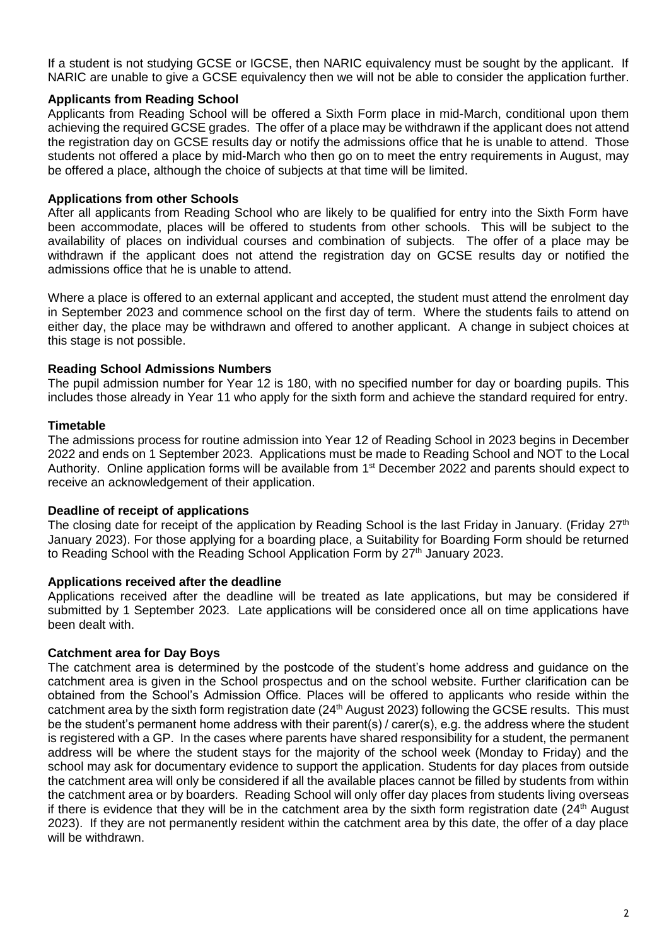If a student is not studying GCSE or IGCSE, then NARIC equivalency must be sought by the applicant. If NARIC are unable to give a GCSE equivalency then we will not be able to consider the application further.

## **Applicants from Reading School**

Applicants from Reading School will be offered a Sixth Form place in mid-March, conditional upon them achieving the required GCSE grades. The offer of a place may be withdrawn if the applicant does not attend the registration day on GCSE results day or notify the admissions office that he is unable to attend. Those students not offered a place by mid-March who then go on to meet the entry requirements in August, may be offered a place, although the choice of subjects at that time will be limited.

#### **Applications from other Schools**

After all applicants from Reading School who are likely to be qualified for entry into the Sixth Form have been accommodate, places will be offered to students from other schools. This will be subject to the availability of places on individual courses and combination of subjects. The offer of a place may be withdrawn if the applicant does not attend the registration day on GCSE results day or notified the admissions office that he is unable to attend.

Where a place is offered to an external applicant and accepted, the student must attend the enrolment day in September 2023 and commence school on the first day of term. Where the students fails to attend on either day, the place may be withdrawn and offered to another applicant. A change in subject choices at this stage is not possible.

#### **Reading School Admissions Numbers**

The pupil admission number for Year 12 is 180, with no specified number for day or boarding pupils. This includes those already in Year 11 who apply for the sixth form and achieve the standard required for entry.

#### **Timetable**

The admissions process for routine admission into Year 12 of Reading School in 2023 begins in December 2022 and ends on 1 September 2023. Applications must be made to Reading School and NOT to the Local Authority. Online application forms will be available from 1<sup>st</sup> December 2022 and parents should expect to receive an acknowledgement of their application.

#### **Deadline of receipt of applications**

The closing date for receipt of the application by Reading School is the last Friday in January. (Friday 27<sup>th</sup> January 2023). For those applying for a boarding place, a Suitability for Boarding Form should be returned to Reading School with the Reading School Application Form by 27<sup>th</sup> January 2023.

#### **Applications received after the deadline**

Applications received after the deadline will be treated as late applications, but may be considered if submitted by 1 September 2023. Late applications will be considered once all on time applications have been dealt with.

#### **Catchment area for Day Boys**

The catchment area is determined by the postcode of the student's home address and guidance on the catchment area is given in the School prospectus and on the school website. Further clarification can be obtained from the School's Admission Office. Places will be offered to applicants who reside within the catchment area by the sixth form registration date (24<sup>th</sup> August 2023) following the GCSE results. This must be the student's permanent home address with their parent(s) / carer(s), e.g. the address where the student is registered with a GP. In the cases where parents have shared responsibility for a student, the permanent address will be where the student stays for the majority of the school week (Monday to Friday) and the school may ask for documentary evidence to support the application. Students for day places from outside the catchment area will only be considered if all the available places cannot be filled by students from within the catchment area or by boarders. Reading School will only offer day places from students living overseas if there is evidence that they will be in the catchment area by the sixth form registration date  $(24<sup>th</sup>$  August 2023). If they are not permanently resident within the catchment area by this date, the offer of a day place will be withdrawn.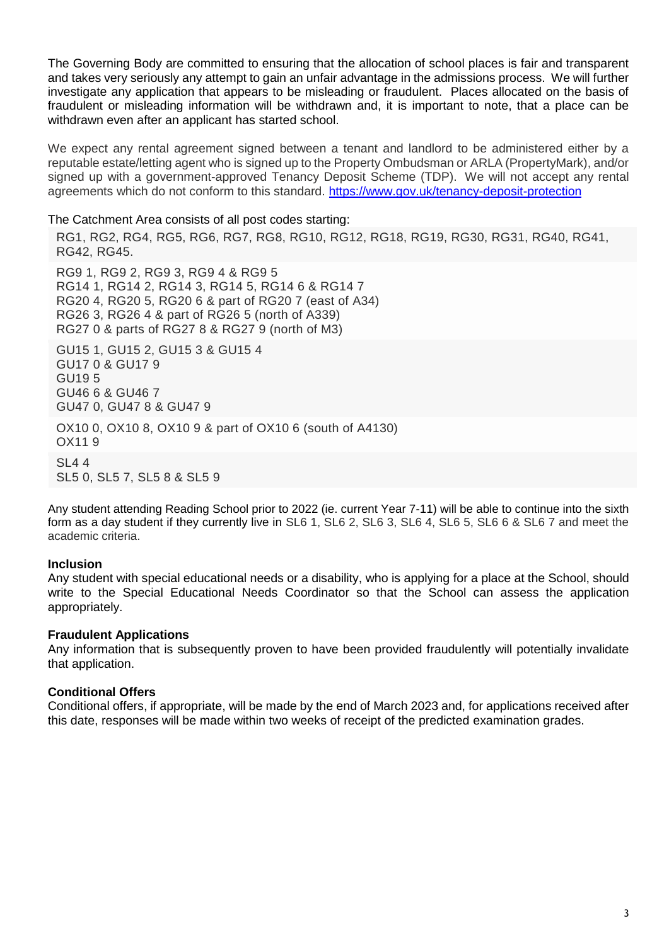The Governing Body are committed to ensuring that the allocation of school places is fair and transparent and takes very seriously any attempt to gain an unfair advantage in the admissions process. We will further investigate any application that appears to be misleading or fraudulent. Places allocated on the basis of fraudulent or misleading information will be withdrawn and, it is important to note, that a place can be withdrawn even after an applicant has started school.

We expect any rental agreement signed between a tenant and landlord to be administered either by a reputable estate/letting agent who is signed up to the Property Ombudsman or ARLA (PropertyMark), and/or signed up with a government-approved Tenancy Deposit Scheme (TDP). We will not accept any rental agreements which do not conform to this standard. <https://www.gov.uk/tenancy-deposit-protection>

The Catchment Area consists of all post codes starting:

RG1, RG2, RG4, RG5, RG6, RG7, RG8, RG10, RG12, RG18, RG19, RG30, RG31, RG40, RG41, RG42, RG45.

RG9 1, RG9 2, RG9 3, RG9 4 & RG9 5 RG14 1, RG14 2, RG14 3, RG14 5, RG14 6 & RG14 7 RG20 4, RG20 5, RG20 6 & part of RG20 7 (east of A34) RG26 3, RG26 4 & part of RG26 5 (north of A339) RG27 0 & parts of RG27 8 & RG27 9 (north of M3)

GU15 1, GU15 2, GU15 3 & GU15 4 GU17 0 & GU17 9 GU19 5 GU46 6 & GU46 7 GU47 0, GU47 8 & GU47 9 OX10 0, OX10 8, OX10 9 & part of OX10 6 (south of A4130) OX11 9

SL4 4 SL5 0, SL5 7, SL5 8 & SL5 9

Any student attending Reading School prior to 2022 (ie. current Year 7-11) will be able to continue into the sixth form as a day student if they currently live in SL6 1, SL6 2, SL6 3, SL6 4, SL6 5, SL6 6 & SL6 7 and meet the academic criteria.

## **Inclusion**

Any student with special educational needs or a disability, who is applying for a place at the School, should write to the Special Educational Needs Coordinator so that the School can assess the application appropriately.

## **Fraudulent Applications**

Any information that is subsequently proven to have been provided fraudulently will potentially invalidate that application.

## **Conditional Offers**

Conditional offers, if appropriate, will be made by the end of March 2023 and, for applications received after this date, responses will be made within two weeks of receipt of the predicted examination grades.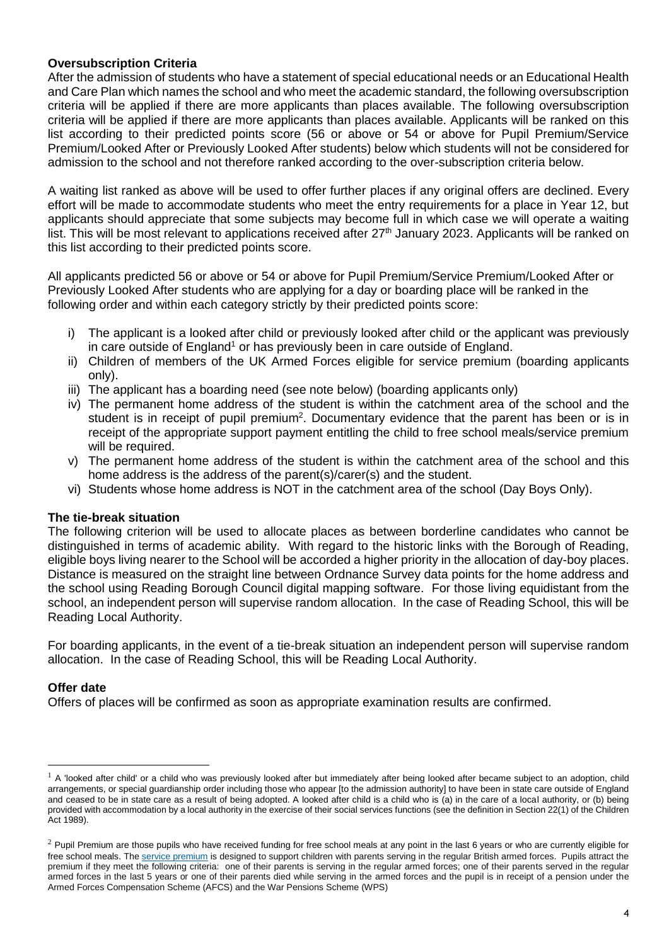# **Oversubscription Criteria**

After the admission of students who have a statement of special educational needs or an Educational Health and Care Plan which names the school and who meet the academic standard, the following oversubscription criteria will be applied if there are more applicants than places available. The following oversubscription criteria will be applied if there are more applicants than places available. Applicants will be ranked on this list according to their predicted points score (56 or above or 54 or above for Pupil Premium/Service Premium/Looked After or Previously Looked After students) below which students will not be considered for admission to the school and not therefore ranked according to the over-subscription criteria below.

A waiting list ranked as above will be used to offer further places if any original offers are declined. Every effort will be made to accommodate students who meet the entry requirements for a place in Year 12, but applicants should appreciate that some subjects may become full in which case we will operate a waiting list. This will be most relevant to applications received after 27<sup>th</sup> January 2023. Applicants will be ranked on this list according to their predicted points score.

All applicants predicted 56 or above or 54 or above for Pupil Premium/Service Premium/Looked After or Previously Looked After students who are applying for a day or boarding place will be ranked in the following order and within each category strictly by their predicted points score:

- i) The applicant is a looked after child or previously looked after child or the applicant was previously in care outside of England<sup>1</sup> or has previously been in care outside of England.
- ii) Children of members of the UK Armed Forces eligible for service premium (boarding applicants only).
- iii) The applicant has a boarding need (see note below) (boarding applicants only)
- iv) The permanent home address of the student is within the catchment area of the school and the student is in receipt of pupil premium<sup>2</sup>. Documentary evidence that the parent has been or is in receipt of the appropriate support payment entitling the child to free school meals/service premium will be required.
- v) The permanent home address of the student is within the catchment area of the school and this home address is the address of the parent(s)/carer(s) and the student.
- vi) Students whose home address is NOT in the catchment area of the school (Day Boys Only).

## **The tie-break situation**

The following criterion will be used to allocate places as between borderline candidates who cannot be distinguished in terms of academic ability. With regard to the historic links with the Borough of Reading, eligible boys living nearer to the School will be accorded a higher priority in the allocation of day-boy places. Distance is measured on the straight line between Ordnance Survey data points for the home address and the school using Reading Borough Council digital mapping software. For those living equidistant from the school, an independent person will supervise random allocation. In the case of Reading School, this will be Reading Local Authority.

For boarding applicants, in the event of a tie-break situation an independent person will supervise random allocation. In the case of Reading School, this will be Reading Local Authority.

## **Offer date**

 $\overline{a}$ 

Offers of places will be confirmed as soon as appropriate examination results are confirmed.

 $<sup>1</sup>$  A 'looked after child' or a child who was previously looked after but immediately after being looked after became subject to an adoption, child</sup> arrangements, or special guardianship order including those who appear [to the admission authority] to have been in state care outside of England and ceased to be in state care as a result of being adopted. A looked after child is a child who is (a) in the care of a local authority, or (b) being provided with accommodation by a local authority in the exercise of their social services functions (see the definition in Section 22(1) of the Children Act 1989).

 $2$  Pupil Premium are those pupils who have received funding for free school meals at any point in the last 6 years or who are currently eligible for free school meals. The service [premium](https://www.gov.uk/government/policies/raising-the-achievement-of-disadvantaged-children/supporting-pages/service-premium) is designed to support children with parents serving in the regular British armed forces. Pupils attract the premium if they meet the following criteria: one of their parents is serving in the regular armed forces; one of their parents served in the regular armed forces in the last 5 years or one of their parents died while serving in the armed forces and the pupil is in receipt of a pension under the Armed Forces Compensation Scheme (AFCS) and the War Pensions Scheme (WPS)